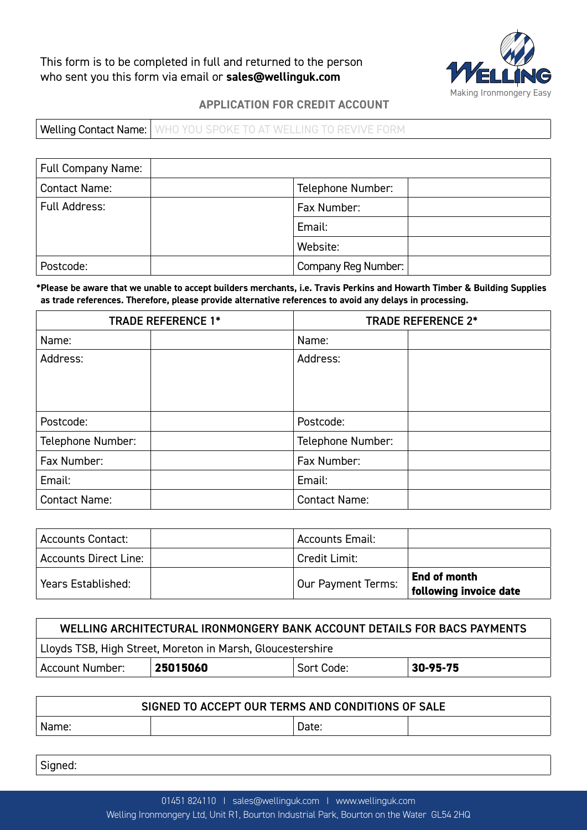This form is to be completed in full and returned to the person who sent you this form via email or **sales@wellinguk.com**



# **APPLICATION FOR CREDIT ACCOUNT**

Welling Contact Name: WHO YOU SPOKE TO AT WELLING TO REVIVE FORM

| <b>Full Company Name:</b> |  |                     |  |
|---------------------------|--|---------------------|--|
| <b>Contact Name:</b>      |  | Telephone Number:   |  |
| Full Address:             |  | Fax Number:         |  |
|                           |  | Email:              |  |
|                           |  | Website:            |  |
| Postcode:                 |  | Company Reg Number: |  |

**\*Please be aware that we unable to accept builders merchants, i.e. Travis Perkins and Howarth Timber & Building Supplies as trade references. Therefore, please provide alternative references to avoid any delays in processing.**

| <b>TRADE REFERENCE 1*</b> |  | <b>TRADE REFERENCE 2*</b> |  |
|---------------------------|--|---------------------------|--|
| Name:                     |  | Name:                     |  |
| Address:                  |  | Address:                  |  |
|                           |  |                           |  |
|                           |  |                           |  |
| Postcode:                 |  | Postcode:                 |  |
| Telephone Number:         |  | Telephone Number:         |  |
| Fax Number:               |  | Fax Number:               |  |
| Email:                    |  | Email:                    |  |
| <b>Contact Name:</b>      |  | <b>Contact Name:</b>      |  |

| <b>Accounts Contact:</b> | <b>Accounts Email:</b> |                                        |
|--------------------------|------------------------|----------------------------------------|
| Accounts Direct Line: .  | Credit Limit:          |                                        |
| Years Established:       | Our Payment Terms:     | End of month<br>following invoice date |

| WELLING ARCHITECTURAL IRONMONGERY BANK ACCOUNT DETAILS FOR BACS PAYMENTS |          |            |          |
|--------------------------------------------------------------------------|----------|------------|----------|
| Lloyds TSB, High Street, Moreton in Marsh, Gloucestershire               |          |            |          |
| Account Number:                                                          | 25015060 | Sort Code: | 30-95-75 |

| SIGNED TO ACCEPT OUR TERMS AND CONDITIONS OF SALE |  |       |  |
|---------------------------------------------------|--|-------|--|
| Name:                                             |  | Date: |  |

Signed: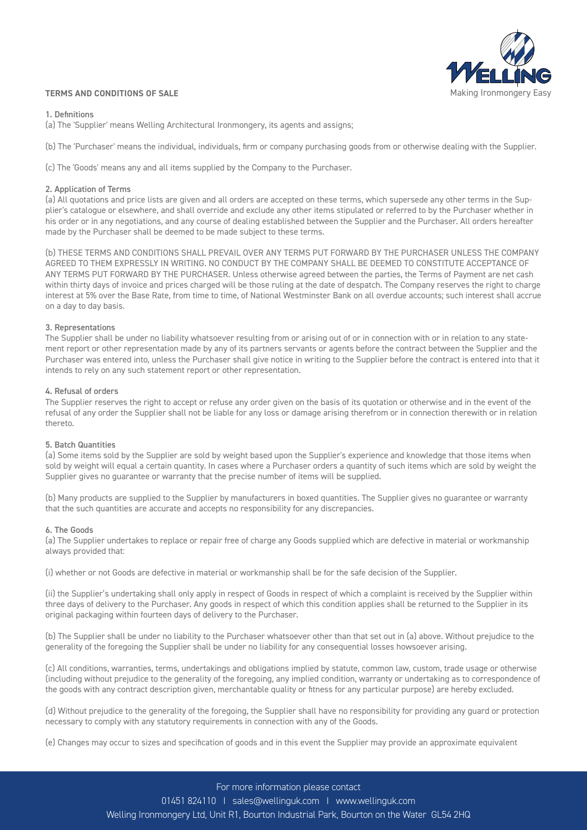

### **TERMS AND CONDITIONS OF SALE**

### 1. Definitions

(a) The 'Supplier' means Welling Architectural Ironmongery, its agents and assigns;

(b) The 'Purchaser' means the individual, individuals, firm or company purchasing goods from or otherwise dealing with the Supplier.

(c) The 'Goods' means any and all items supplied by the Company to the Purchaser.

## 2. Application of Terms

(a) All quotations and price lists are given and all orders are accepted on these terms, which supersede any other terms in the Supplier's catalogue or elsewhere, and shall override and exclude any other items stipulated or referred to by the Purchaser whether in his order or in any negotiations, and any course of dealing established between the Supplier and the Purchaser. All orders hereafter made by the Purchaser shall be deemed to be made subject to these terms.

(b) THESE TERMS AND CONDITIONS SHALL PREVAIL OVER ANY TERMS PUT FORWARD BY THE PURCHASER UNLESS THE COMPANY AGREED TO THEM EXPRESSLY IN WRITING. NO CONDUCT BY THE COMPANY SHALL BE DEEMED TO CONSTITUTE ACCEPTANCE OF ANY TERMS PUT FORWARD BY THE PURCHASER. Unless otherwise agreed between the parties, the Terms of Payment are net cash within thirty days of invoice and prices charged will be those ruling at the date of despatch. The Company reserves the right to charge interest at 5% over the Base Rate, from time to time, of National Westminster Bank on all overdue accounts; such interest shall accrue on a day to day basis.

### 3. Representations

The Supplier shall be under no liability whatsoever resulting from or arising out of or in connection with or in relation to any statement report or other representation made by any of its partners servants or agents before the contract between the Supplier and the Purchaser was entered into, unless the Purchaser shall give notice in writing to the Supplier before the contract is entered into that it intends to rely on any such statement report or other representation.

### 4. Refusal of orders

The Supplier reserves the right to accept or refuse any order given on the basis of its quotation or otherwise and in the event of the refusal of any order the Supplier shall not be liable for any loss or damage arising therefrom or in connection therewith or in relation thereto.

### 5. Batch Quantities

(a) Some items sold by the Supplier are sold by weight based upon the Supplier's experience and knowledge that those items when sold by weight will equal a certain quantity. In cases where a Purchaser orders a quantity of such items which are sold by weight the Supplier gives no guarantee or warranty that the precise number of items will be supplied.

(b) Many products are supplied to the Supplier by manufacturers in boxed quantities. The Supplier gives no guarantee or warranty that the such quantities are accurate and accepts no responsibility for any discrepancies.

### 6. The Goods

(a) The Supplier undertakes to replace or repair free of charge any Goods supplied which are defective in material or workmanship always provided that:

(i) whether or not Goods are defective in material or workmanship shall be for the safe decision of the Supplier.

(ii) the Supplier's undertaking shall only apply in respect of Goods in respect of which a complaint is received by the Supplier within three days of delivery to the Purchaser. Any goods in respect of which this condition applies shall be returned to the Supplier in its original packaging within fourteen days of delivery to the Purchaser.

(b) The Supplier shall be under no liability to the Purchaser whatsoever other than that set out in (a) above. Without prejudice to the generality of the foregoing the Supplier shall be under no liability for any consequential losses howsoever arising.

(c) All conditions, warranties, terms, undertakings and obligations implied by statute, common law, custom, trade usage or otherwise (including without prejudice to the generality of the foregoing, any implied condition, warranty or undertaking as to correspondence of the goods with any contract description given, merchantable quality or fitness for any particular purpose) are hereby excluded.

(d) Without prejudice to the generality of the foregoing, the Supplier shall have no responsibility for providing any guard or protection necessary to comply with any statutory requirements in connection with any of the Goods.

(e) Changes may occur to sizes and specification of goods and in this event the Supplier may provide an approximate equivalent